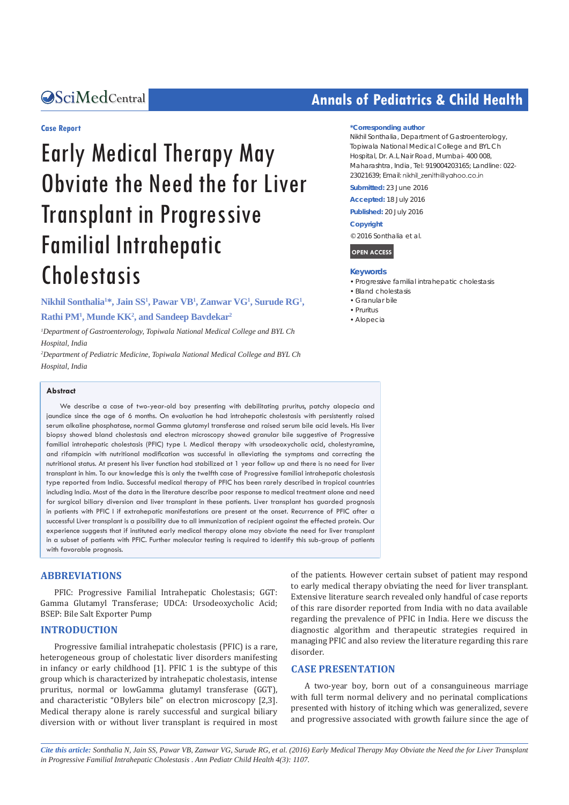#### **Case Report**

# Early Medical Therapy May Obviate the Need the for Liver Transplant in Progressive Familial Intrahepatic Cholestasis

**Nikhil Sonthalia1 \*, Jain SS1 , Pawar VB1 , Zanwar VG1 , Surude RG1 ,** 

#### **Rathi PM1 , Munde KK2 , and Sandeep Bavdekar2**

*1 Department of Gastroenterology, Topiwala National Medical College and BYL Ch Hospital, India*

*2 Department of Pediatric Medicine, Topiwala National Medical College and BYL Ch Hospital, India*

#### **Abstract**

We describe a case of two-year-old boy presenting with debilitating pruritus, patchy alopecia and jaundice since the age of 6 months. On evaluation he had intrahepatic cholestasis with persistently raised serum alkaline phosphatase, normal Gamma glutamyl transferase and raised serum bile acid levels. His liver biopsy showed bland cholestasis and electron microscopy showed granular bile suggestive of Progressive familial intrahepatic cholestasis (PFIC) type I. Medical therapy with ursodeoxycholic acid, cholestyramine, and rifampicin with nutritional modification was successful in alleviating the symptoms and correcting the nutritional status. At present his liver function had stabilized at 1 year follow up and there is no need for liver transplant in him. To our knowledge this is only the twelfth case of Progressive familial intrahepatic cholestasis type reported from India. Successful medical therapy of PFIC has been rarely described in tropical countries including India. Most of the data in the literature describe poor response to medical treatment alone and need for surgical biliary diversion and liver transplant in these patients. Liver transplant has guarded prognosis in patients with PFIC I if extrahepatic manifestations are present at the onset. Recurrence of PFIC after a successful Liver transplant is a possibility due to all immunization of recipient against the effected protein. Our experience suggests that if instituted early medical therapy alone may obviate the need for liver transplant in a subset of patients with PFIC. Further molecular testing is required to identify this sub-group of patients with favorable prognosis.

#### **ABBREVIATIONS**

PFIC: Progressive Familial Intrahepatic Cholestasis; GGT: Gamma Glutamyl Transferase; UDCA: Ursodeoxycholic Acid; BSEP: Bile Salt Exporter Pump

#### **INTRODUCTION**

Progressive familial intrahepatic cholestasis (PFIC) is a rare, heterogeneous group of cholestatic liver disorders manifesting in infancy or early childhood [1]. PFIC 1 is the subtype of this group which is characterized by intrahepatic cholestasis, intense pruritus, normal or lowGamma glutamyl transferase (GGT), and characteristic "OBylers bile" on electron microscopy [2,3]. Medical therapy alone is rarely successful and surgical biliary diversion with or without liver transplant is required in most of the patients. However certain subset of patient may respond to early medical therapy obviating the need for liver transplant. Extensive literature search revealed only handful of case reports of this rare disorder reported from India with no data available regarding the prevalence of PFIC in India. Here we discuss the diagnostic algorithm and therapeutic strategies required in managing PFIC and also review the literature regarding this rare disorder.

#### **CASE PRESENTATION**

A two-year boy, born out of a consanguineous marriage with full term normal delivery and no perinatal complications presented with history of itching which was generalized, severe and progressive associated with growth failure since the age of

*Cite this article: Sonthalia N, Jain SS, Pawar VB, Zanwar VG, Surude RG, et al. (2016) Early Medical Therapy May Obviate the Need the for Liver Transplant in Progressive Familial Intrahepatic Cholestasis . Ann Pediatr Child Health 4(3): 1107.*

## **CALCED Annals of Pediatrics & Child Health**

#### **\*Corresponding author**

Nikhil Sonthalia, Department of Gastroenterology, Topiwala National Medical College and BYL Ch Hospital, Dr. A.L Nair Road, Mumbai- 400 008, Maharashtra, India, Tel: 919004203165; Landline: 022- 23021639; Fmail: nikhil zenith@vghoo.co.in

**Submitted:** 23 June 2016

**Accepted:** 18 July 2016

**Published:** 20 July 2016

#### **Copyright**

© 2016 Sonthalia et al.

**OPEN ACCESS**

#### **Keywords**

- • Progressive familial intrahepatic cholestasis
- • Bland cholestasis
- • Granular bile
- • Pruritus
- • Alopecia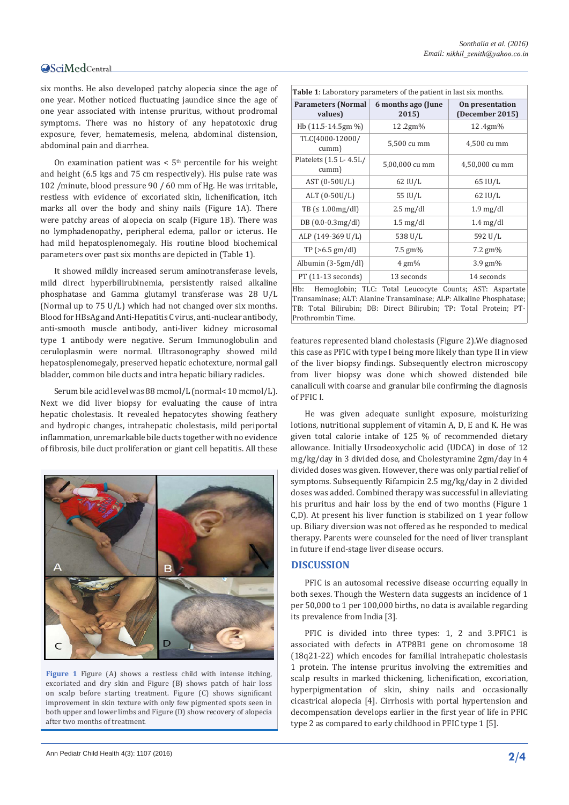six months. He also developed patchy alopecia since the age of one year. Mother noticed fluctuating jaundice since the age of one year associated with intense pruritus, without prodromal symptoms. There was no history of any hepatotoxic drug exposure, fever, hematemesis, melena, abdominal distension, abdominal pain and diarrhea.

On examination patient was  $< 5<sup>th</sup>$  percentile for his weight and height (6.5 kgs and 75 cm respectively). His pulse rate was 102 /minute, blood pressure 90 / 60 mm of Hg. He was irritable, restless with evidence of excoriated skin, lichenification, itch marks all over the body and shiny nails (Figure 1A). There were patchy areas of alopecia on scalp (Figure 1B). There was no lymphadenopathy, peripheral edema, pallor or icterus. He had mild hepatosplenomegaly. His routine blood biochemical parameters over past six months are depicted in (Table 1).

It showed mildly increased serum aminotransferase levels, mild direct hyperbilirubinemia, persistently raised alkaline phosphatase and Gamma glutamyl transferase was 28 U/L (Normal up to 75 U/L) which had not changed over six months. Blood for HBsAg and Anti-Hepatitis C virus, anti-nuclear antibody, anti-smooth muscle antibody, anti-liver kidney microsomal type 1 antibody were negative. Serum Immunoglobulin and ceruloplasmin were normal. Ultrasonography showed mild hepatosplenomegaly, preserved hepatic echotexture, normal gall bladder, common bile ducts and intra hepatic biliary radicles.

Serum bile acid level was 88 mcmol/L (normal< 10 mcmol/L). Next we did liver biopsy for evaluating the cause of intra hepatic cholestasis. It revealed hepatocytes showing feathery and hydropic changes, intrahepatic cholestasis, mild periportal inflammation, unremarkable bile ducts together with no evidence of fibrosis, bile duct proliferation or giant cell hepatitis. All these



**Figure 1** Figure (A) shows a restless child with intense itching, excoriated and dry skin and Figure (B) shows patch of hair loss on scalp before starting treatment. Figure (C) shows significant improvement in skin texture with only few pigmented spots seen in both upper and lower limbs and Figure (D) show recovery of alopecia after two months of treatment.

| <b>Table 1</b> : Laboratory parameters of the patient in last six months. |                             |                                    |  |  |  |  |
|---------------------------------------------------------------------------|-----------------------------|------------------------------------|--|--|--|--|
| <b>Parameters (Normal</b><br>values)                                      | 6 months ago (June<br>2015) | On presentation<br>(December 2015) |  |  |  |  |
| Hb $(11.5-14.5gm\%)$                                                      | 12.2 $gm\%$                 | 12.4gm%                            |  |  |  |  |
| TLC(4000-12000/<br>cumm)                                                  | 5,500 cu mm                 | 4,500 cu mm                        |  |  |  |  |
| Platelets (1.5 L-4.5L/<br>cumm)                                           | 5,00,000 cu mm              | 4,50,000 cu mm                     |  |  |  |  |
| AST (0-50U/L)                                                             | $62$ IU/L                   | 65 IU/L                            |  |  |  |  |
| ALT $(0-50U/L)$                                                           | 55 IU/L                     | $62$ IU/L                          |  |  |  |  |
| $TB \leq 1.00mg/dl$                                                       | $2.5 \text{ mg/dl}$         | $1.9 \text{ mg/dl}$                |  |  |  |  |
| $DB(0.0-0.3mg/dl)$                                                        | $1.5 \text{ mg/dl}$         | $1.4 \text{ mg/dl}$                |  |  |  |  |
| ALP (149-369 U/L)                                                         | 538 U/L                     |                                    |  |  |  |  |
| $TP$ ( $>6.5$ gm/dl)                                                      | 7.5 $gm\%$                  | 7.2 $\text{gm}\%$                  |  |  |  |  |
| Albumin (3-5gm/dl)                                                        | $4 \text{ gm}$ %            | $3.9 \text{ gm}$ %                 |  |  |  |  |
| PT (11-13 seconds)                                                        | 13 seconds                  | 14 seconds                         |  |  |  |  |

Hemoglobin; TLC: Total Leucocyte Counts; AST: Aspartate Transaminase; ALT: Alanine Transaminase; ALP: Alkaline Phosphatase; TB: Total Bilirubin; DB: Direct Bilirubin; TP: Total Protein; PT-Prothrombin Time.

features represented bland cholestasis (Figure 2).We diagnosed this case as PFIC with type I being more likely than type II in view of the liver biopsy findings. Subsequently electron microscopy from liver biopsy was done which showed distended bile canaliculi with coarse and granular bile confirming the diagnosis of PFIC I.

He was given adequate sunlight exposure, moisturizing lotions, nutritional supplement of vitamin A, D, E and K. He was given total calorie intake of 125 % of recommended dietary allowance. Initially Ursodeoxycholic acid (UDCA) in dose of 12 mg/kg/day in 3 divided dose, and Cholestyramine 2gm/day in 4 divided doses was given. However, there was only partial relief of symptoms. Subsequently Rifampicin 2.5 mg/kg/day in 2 divided doses was added. Combined therapy was successful in alleviating his pruritus and hair loss by the end of two months (Figure 1 C,D). At present his liver function is stabilized on 1 year follow up. Biliary diversion was not offered as he responded to medical therapy. Parents were counseled for the need of liver transplant in future if end-stage liver disease occurs.

#### **DISCUSSION**

PFIC is an autosomal recessive disease occurring equally in both sexes. Though the Western data suggests an incidence of 1 per 50,000 to 1 per 100,000 births, no data is available regarding its prevalence from India [3].

PFIC is divided into three types: 1, 2 and 3.PFIC1 is associated with defects in ATP8B1 gene on chromosome 18 (18q21-22) which encodes for familial intrahepatic cholestasis 1 protein. The intense pruritus involving the extremities and scalp results in marked thickening, lichenification, excoriation, hyperpigmentation of skin, shiny nails and occasionally cicastrical alopecia [4]. Cirrhosis with portal hypertension and decompensation develops earlier in the first year of life in PFIC type 2 as compared to early childhood in PFIC type 1 [5].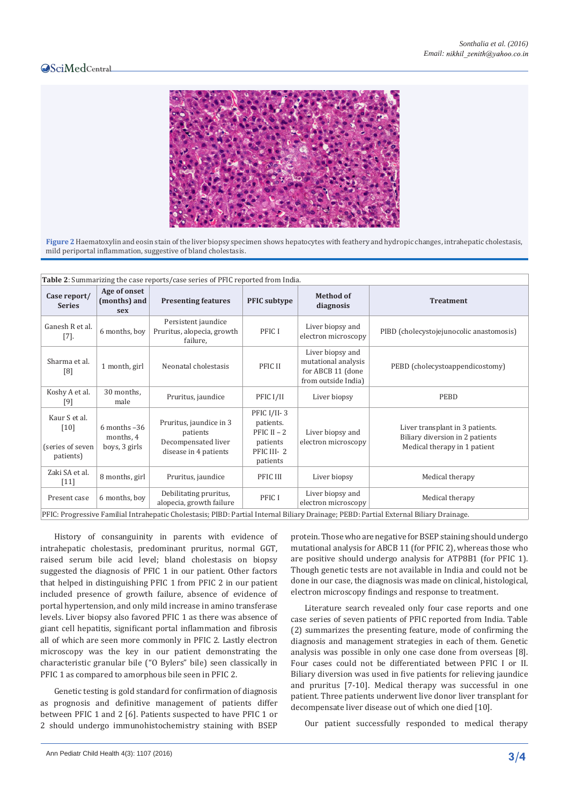### **OSciMedCentral**



**Figure 2** Haematoxylin and eosin stain of the liver biopsy specimen shows hepatocytes with feathery and hydropic changes, intrahepatic cholestasis, mild periportal inflammation, suggestive of bland cholestasis.

| Table 2: Summarizing the case reports/case series of PFIC reported from India.                                                         |                                                |                                                                                     |                                                                                 |                                                                                     |                                                                                                    |  |  |
|----------------------------------------------------------------------------------------------------------------------------------------|------------------------------------------------|-------------------------------------------------------------------------------------|---------------------------------------------------------------------------------|-------------------------------------------------------------------------------------|----------------------------------------------------------------------------------------------------|--|--|
| Case report/<br><b>Series</b>                                                                                                          | Age of onset<br>(months) and<br>sex            | <b>Presenting features</b>                                                          | <b>PFIC</b> subtype                                                             | <b>Method of</b><br>diagnosis                                                       | <b>Treatment</b>                                                                                   |  |  |
| Ganesh R et al.<br>$[7]$ .                                                                                                             | 6 months, boy                                  | Persistent jaundice<br>Pruritus, alopecia, growth<br>failure,                       | PFIC I                                                                          | Liver biopsy and<br>electron microscopy                                             | PIBD (cholecystojejunocolic anastomosis)                                                           |  |  |
| Sharma et al.<br>[8]                                                                                                                   | 1 month, girl                                  | Neonatal cholestasis                                                                | PFIC II                                                                         | Liver biopsy and<br>mutational analysis<br>for ABCB 11 (done<br>from outside India) | PEBD (cholecystoappendicostomy)                                                                    |  |  |
| Koshy A et al.<br>[9]                                                                                                                  | 30 months,<br>male                             | Pruritus, jaundice                                                                  | PFIC I/II                                                                       | Liver biopsy                                                                        | PEBD                                                                                               |  |  |
| Kaur S et al.<br>[10]<br>(series of seven<br>patients)                                                                                 | $6$ months $-36$<br>months, 4<br>boys, 3 girls | Pruritus, jaundice in 3<br>patients<br>Decompensated liver<br>disease in 4 patients | PFIC I/II-3<br>patients.<br>PFIC $II - 2$<br>patients<br>PFIC III-2<br>patients | Liver biopsy and<br>electron microscopy                                             | Liver transplant in 3 patients.<br>Biliary diversion in 2 patients<br>Medical therapy in 1 patient |  |  |
| Zaki SA et al.<br>$[11]$                                                                                                               | 8 months, girl                                 | Pruritus, jaundice                                                                  | PFIC III                                                                        | Liver biopsy                                                                        | Medical therapy                                                                                    |  |  |
| Present case                                                                                                                           | 6 months, boy                                  | Debilitating pruritus,<br>alopecia, growth failure                                  | PFIC I                                                                          | Liver biopsy and<br>electron microscopy                                             | Medical therapy                                                                                    |  |  |
| PFIC: Progressive Familial Intrahepatic Cholestasis; PIBD: Partial Internal Biliary Drainage; PEBD: Partial External Biliary Drainage. |                                                |                                                                                     |                                                                                 |                                                                                     |                                                                                                    |  |  |

History of consanguinity in parents with evidence of intrahepatic cholestasis, predominant pruritus, normal GGT, raised serum bile acid level; bland cholestasis on biopsy suggested the diagnosis of PFIC 1 in our patient. Other factors that helped in distinguishing PFIC 1 from PFIC 2 in our patient included presence of growth failure, absence of evidence of portal hypertension, and only mild increase in amino transferase levels. Liver biopsy also favored PFIC 1 as there was absence of giant cell hepatitis, significant portal inflammation and fibrosis all of which are seen more commonly in PFIC 2. Lastly electron microscopy was the key in our patient demonstrating the characteristic granular bile ("O Bylers" bile) seen classically in PFIC 1 as compared to amorphous bile seen in PFIC 2.

Genetic testing is gold standard for confirmation of diagnosis as prognosis and definitive management of patients differ between PFIC 1 and 2 [6]. Patients suspected to have PFIC 1 or 2 should undergo immunohistochemistry staining with BSEP protein. Those who are negative for BSEP staining should undergo mutational analysis for ABCB 11 (for PFIC 2), whereas those who are positive should undergo analysis for ATP8B1 (for PFIC 1). Though genetic tests are not available in India and could not be done in our case, the diagnosis was made on clinical, histological, electron microscopy findings and response to treatment.

Literature search revealed only four case reports and one case series of seven patients of PFIC reported from India. Table (2) summarizes the presenting feature, mode of confirming the diagnosis and management strategies in each of them. Genetic analysis was possible in only one case done from overseas [8]. Four cases could not be differentiated between PFIC I or II. Biliary diversion was used in five patients for relieving jaundice and pruritus [7-10]. Medical therapy was successful in one patient. Three patients underwent live donor liver transplant for decompensate liver disease out of which one died [10].

Our patient successfully responded to medical therapy